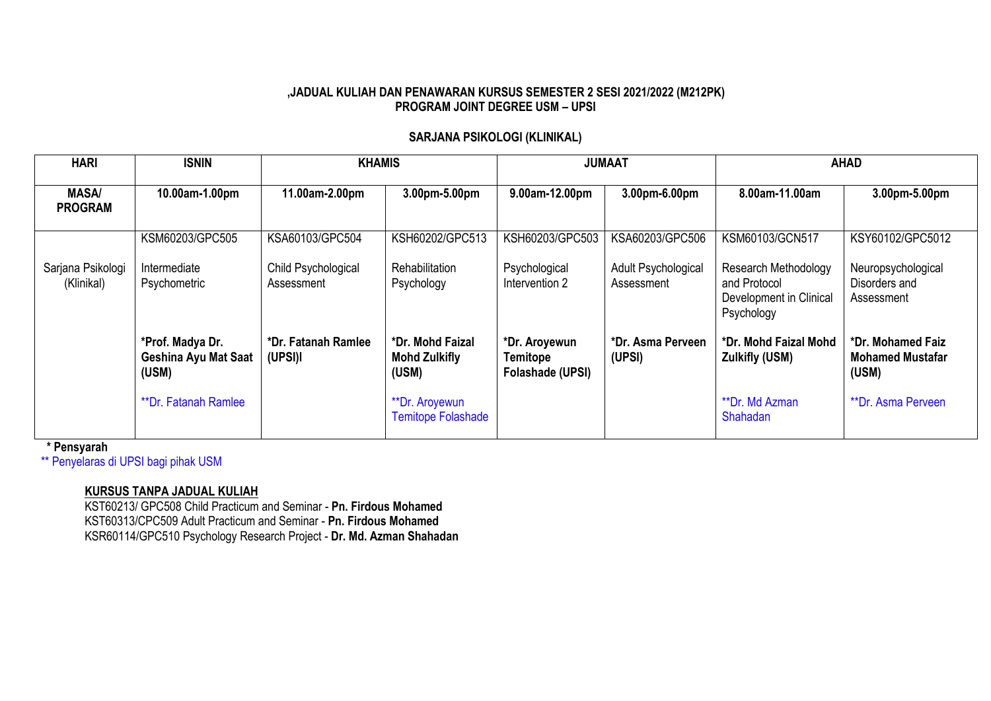#### **,JADUAL KULIAH DAN PENAWARAN KURSUS SEMESTER 2 SESI 2021/2022 (M212PK) PROGRAM JOINT DEGREE USM – UPSI**

## **SARJANA PSIKOLOGI (KLINIKAL)**

| <b>HARI</b>                     | <b>ISNIN</b>                                             | <b>KHAMIS</b>                     |                                                   |                                                      | <b>JUMAAT</b>                     |                                                                                      | <b>AHAD</b>                                           |
|---------------------------------|----------------------------------------------------------|-----------------------------------|---------------------------------------------------|------------------------------------------------------|-----------------------------------|--------------------------------------------------------------------------------------|-------------------------------------------------------|
| <b>MASA/</b><br><b>PROGRAM</b>  | 10.00am-1.00pm                                           | 11.00am-2.00pm                    | 3.00pm-5.00pm                                     | 9.00am-12.00pm                                       | 3.00pm-6.00pm                     | 8.00am-11.00am                                                                       | 3.00pm-5.00pm                                         |
|                                 | KSM60203/GPC505                                          | KSA60103/GPC504                   | KSH60202/GPC513                                   | KSH60203/GPC503                                      | KSA60203/GPC506                   | KSM60103/GCN517                                                                      | KSY60102/GPC5012                                      |
| Sarjana Psikologi<br>(Klinikal) | Intermediate<br>Psychometric                             | Child Psychological<br>Assessment | Rehabilitation<br>Psychology                      | Psychological<br>Intervention 2                      | Adult Psychological<br>Assessment | <b>Research Methodology</b><br>and Protocol<br>Development in Clinical<br>Psychology | Neuropsychological<br>Disorders and<br>Assessment     |
|                                 | *Prof. Madya Dr.<br><b>Geshina Ayu Mat Saat</b><br>(USM) | *Dr. Fatanah Ramlee<br>(UPSI)I    | *Dr. Mohd Faizal<br><b>Mohd Zulkifly</b><br>(USM) | *Dr. Aroyewun<br><b>Temitope</b><br>Folashade (UPSI) | *Dr. Asma Perveen<br>(UPSI)       | *Dr. Mohd Faizal Mohd<br><b>Zulkifly (USM)</b>                                       | *Dr. Mohamed Faiz<br><b>Mohamed Mustafar</b><br>(USM) |
|                                 | <b>**Dr. Fatanah Ramlee</b>                              |                                   | **Dr. Aroyewun<br><b>Temitope Folashade</b>       |                                                      |                                   | **Dr. Md Azman<br>Shahadan                                                           | **Dr. Asma Perveen                                    |

 **\* Pensyarah**

\*\* Penyelaras di UPSI bagi pihak USM

### **KURSUS TANPA JADUAL KULIAH**

KST60213/ GPC508 Child Practicum and Seminar - **Pn. Firdous Mohamed** KST60313/CPC509 Adult Practicum and Seminar - **Pn. Firdous Mohamed** KSR60114/GPC510 Psychology Research Project - **Dr. Md. Azman Shahadan**